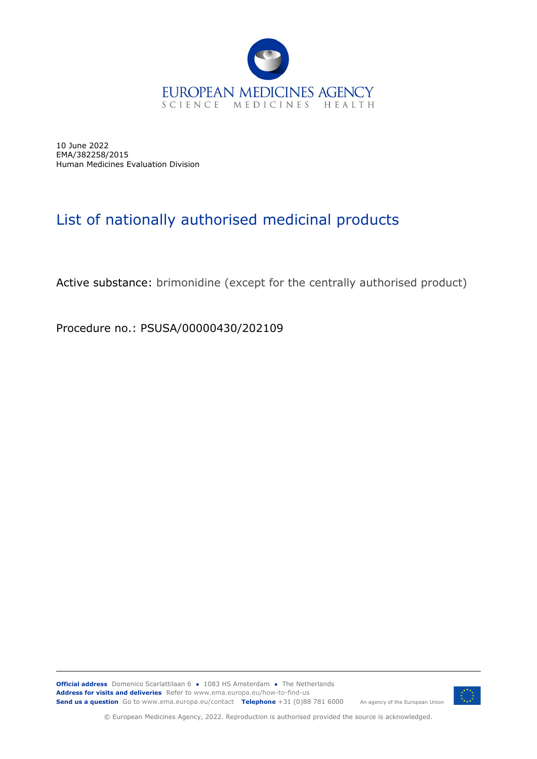

10 June 2022 EMA/382258/2015 Human Medicines Evaluation Division

## List of nationally authorised medicinal products

Active substance: brimonidine (except for the centrally authorised product)

Procedure no.: PSUSA/00000430/202109



© European Medicines Agency, 2022. Reproduction is authorised provided the source is acknowledged.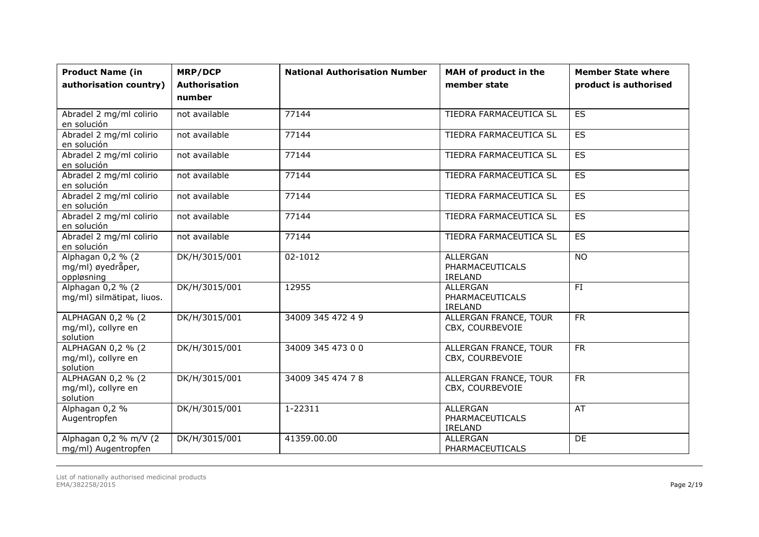| <b>Product Name (in</b><br>authorisation country)    | <b>MRP/DCP</b><br><b>Authorisation</b><br>number | <b>National Authorisation Number</b> | MAH of product in the<br>member state                | <b>Member State where</b><br>product is authorised |
|------------------------------------------------------|--------------------------------------------------|--------------------------------------|------------------------------------------------------|----------------------------------------------------|
| Abradel 2 mg/ml colirio<br>en solución               | not available                                    | 77144                                | TIEDRA FARMACEUTICA SL                               | $\overline{ES}$                                    |
| Abradel 2 mg/ml colirio<br>en solución               | not available                                    | 77144                                | TIEDRA FARMACEUTICA SL                               | ES                                                 |
| Abradel 2 mg/ml colirio<br>en solución               | not available                                    | 77144                                | TIEDRA FARMACEUTICA SL                               | $\overline{ES}$                                    |
| Abradel 2 mg/ml colirio<br>en solución               | not available                                    | 77144                                | TIEDRA FARMACEUTICA SL                               | <b>ES</b>                                          |
| Abradel 2 mg/ml colirio<br>en solución               | not available                                    | 77144                                | TIEDRA FARMACEUTICA SL                               | <b>ES</b>                                          |
| Abradel 2 mg/ml colirio<br>en solución               | not available                                    | 77144                                | TIEDRA FARMACEUTICA SL                               | <b>ES</b>                                          |
| Abradel 2 mg/ml colirio<br>en solución               | not available                                    | 77144                                | TIEDRA FARMACEUTICA SL                               | <b>ES</b>                                          |
| Alphagan 0,2 % (2<br>mg/ml) øyedråper,<br>oppløsning | DK/H/3015/001                                    | 02-1012                              | <b>ALLERGAN</b><br>PHARMACEUTICALS<br>IRELAND        | <b>NO</b>                                          |
| Alphagan 0,2 % (2<br>mg/ml) silmätipat, liuos.       | DK/H/3015/001                                    | 12955                                | <b>ALLERGAN</b><br>PHARMACEUTICALS<br><b>IRELAND</b> | $\overline{FI}$                                    |
| ALPHAGAN 0,2 % (2<br>mg/ml), collyre en<br>solution  | DK/H/3015/001                                    | 34009 345 472 4 9                    | ALLERGAN FRANCE, TOUR<br>CBX, COURBEVOIE             | <b>FR</b>                                          |
| ALPHAGAN 0,2 % (2<br>mg/ml), collyre en<br>solution  | DK/H/3015/001                                    | 34009 345 473 00                     | ALLERGAN FRANCE, TOUR<br>CBX, COURBEVOIE             | <b>FR</b>                                          |
| ALPHAGAN 0,2 % (2<br>mg/ml), collyre en<br>solution  | DK/H/3015/001                                    | 34009 345 474 78                     | ALLERGAN FRANCE, TOUR<br>CBX, COURBEVOIE             | <b>FR</b>                                          |
| Alphagan 0,2 %<br>Augentropfen                       | DK/H/3015/001                                    | 1-22311                              | <b>ALLERGAN</b><br>PHARMACEUTICALS<br>IRELAND        | AT                                                 |
| Alphagan 0,2 % m/V (2<br>mg/ml) Augentropfen         | DK/H/3015/001                                    | 41359.00.00                          | ALLERGAN<br>PHARMACEUTICALS                          | DE                                                 |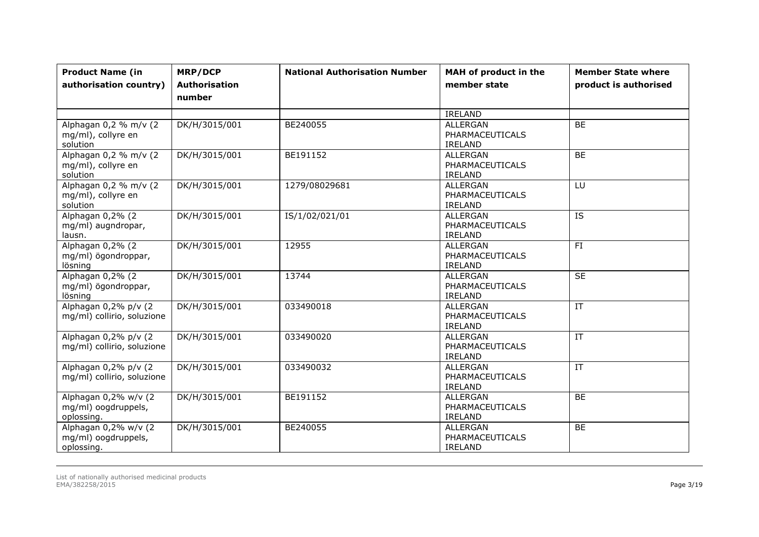| <b>Product Name (in</b><br>authorisation country)         | <b>MRP/DCP</b><br><b>Authorisation</b><br>number | <b>National Authorisation Number</b> | MAH of product in the<br>member state         | <b>Member State where</b><br>product is authorised |
|-----------------------------------------------------------|--------------------------------------------------|--------------------------------------|-----------------------------------------------|----------------------------------------------------|
|                                                           |                                                  |                                      | IRELAND                                       |                                                    |
| Alphagan 0,2 % m/v (2<br>mg/ml), collyre en<br>solution   | DK/H/3015/001                                    | BE240055                             | <b>ALLERGAN</b><br>PHARMACEUTICALS<br>IRELAND | BE                                                 |
| Alphagan 0,2 % m/v (2<br>mg/ml), collyre en<br>solution   | DK/H/3015/001                                    | BE191152                             | <b>ALLERGAN</b><br>PHARMACEUTICALS<br>IRELAND | BE                                                 |
| Alphagan 0,2 % m/v (2<br>mg/ml), collyre en<br>solution   | DK/H/3015/001                                    | 1279/08029681                        | <b>ALLERGAN</b><br>PHARMACEUTICALS<br>IRELAND | LU                                                 |
| Alphagan 0,2% (2<br>mg/ml) augndropar,<br>lausn.          | DK/H/3015/001                                    | IS/1/02/021/01                       | <b>ALLERGAN</b><br>PHARMACEUTICALS<br>IRELAND | $\overline{IS}$                                    |
| Alphagan 0,2% (2<br>mg/ml) ögondroppar,<br>lösning        | DK/H/3015/001                                    | 12955                                | <b>ALLERGAN</b><br>PHARMACEUTICALS<br>IRELAND | FI.                                                |
| Alphagan 0,2% (2<br>mg/ml) ögondroppar,<br>lösning        | DK/H/3015/001                                    | 13744                                | <b>ALLERGAN</b><br>PHARMACEUTICALS<br>IRELAND | SE                                                 |
| Alphagan 0,2% p/v (2)<br>mg/ml) collirio, soluzione       | DK/H/3015/001                                    | 033490018                            | <b>ALLERGAN</b><br>PHARMACEUTICALS<br>IRELAND | $\ensuremath{\text{IT}}$                           |
| Alphagan 0,2% p/v (2<br>mg/ml) collirio, soluzione        | DK/H/3015/001                                    | 033490020                            | ALLERGAN<br>PHARMACEUTICALS<br>IRELAND        | $\overline{\mathbf{I}}$                            |
| Alphagan 0,2% p/v (2<br>mg/ml) collirio, soluzione        | DK/H/3015/001                                    | 033490032                            | <b>ALLERGAN</b><br>PHARMACEUTICALS<br>IRELAND | IT                                                 |
| Alphagan 0,2% w/v (2<br>mg/ml) oogdruppels,<br>oplossing. | DK/H/3015/001                                    | BE191152                             | ALLERGAN<br>PHARMACEUTICALS<br>IRELAND        | <b>BE</b>                                          |
| Alphagan 0,2% w/v (2<br>mg/ml) oogdruppels,<br>oplossing. | DK/H/3015/001                                    | BE240055                             | <b>ALLERGAN</b><br>PHARMACEUTICALS<br>IRELAND | <b>BE</b>                                          |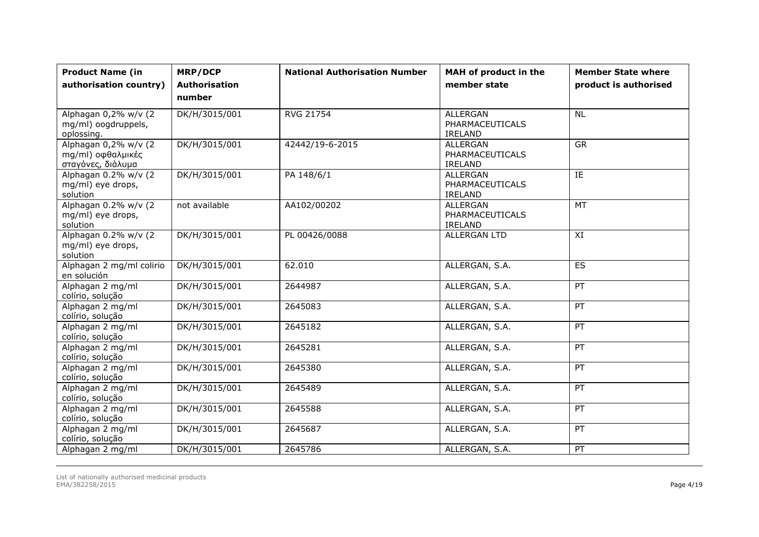| <b>Product Name (in</b><br>authorisation country)                  | <b>MRP/DCP</b><br><b>Authorisation</b><br>number | <b>National Authorisation Number</b> | MAH of product in the<br>member state         | <b>Member State where</b><br>product is authorised |
|--------------------------------------------------------------------|--------------------------------------------------|--------------------------------------|-----------------------------------------------|----------------------------------------------------|
| Alphagan 0,2% w/v (2<br>mg/ml) oogdruppels,<br>oplossing.          | DK/H/3015/001                                    | <b>RVG 21754</b>                     | <b>ALLERGAN</b><br>PHARMACEUTICALS<br>IRELAND | $\overline{NL}$                                    |
| Alphagan $0,2\%$ w/v (2)<br>mg/ml) οφθαλμικές<br>σταγόνες, διάλυμα | DK/H/3015/001                                    | 42442/19-6-2015                      | <b>ALLERGAN</b><br>PHARMACEUTICALS<br>IRELAND | <b>GR</b>                                          |
| Alphagan 0.2% w/v (2<br>mg/ml) eye drops,<br>solution              | DK/H/3015/001                                    | PA 148/6/1                           | ALLERGAN<br>PHARMACEUTICALS<br>IRELAND        | $\overline{IE}$                                    |
| Alphagan 0.2% w/v (2<br>mg/ml) eye drops,<br>solution              | not available                                    | AA102/00202                          | <b>ALLERGAN</b><br>PHARMACEUTICALS<br>IRELAND | MT                                                 |
| Alphagan 0.2% w/v (2<br>mg/ml) eye drops,<br>solution              | DK/H/3015/001                                    | PL 00426/0088                        | <b>ALLERGAN LTD</b>                           | XI                                                 |
| Alphagan 2 mg/ml colirio<br>en solución                            | DK/H/3015/001                                    | 62.010                               | ALLERGAN, S.A.                                | <b>ES</b>                                          |
| Alphagan 2 mg/ml<br>colírio, solução                               | DK/H/3015/001                                    | 2644987                              | ALLERGAN, S.A.                                | PT                                                 |
| Alphagan 2 mg/ml<br>colírio, solução                               | DK/H/3015/001                                    | 2645083                              | ALLERGAN, S.A.                                | PT                                                 |
| Alphagan 2 mg/ml<br>colírio, solução                               | DK/H/3015/001                                    | 2645182                              | ALLERGAN, S.A.                                | PT                                                 |
| Alphagan 2 mg/ml<br>colírio, solução                               | DK/H/3015/001                                    | 2645281                              | ALLERGAN, S.A.                                | PT                                                 |
| Alphagan 2 mg/ml<br>colírio, solução                               | DK/H/3015/001                                    | 2645380                              | ALLERGAN, S.A.                                | PT                                                 |
| Alphagan 2 mg/ml<br>colírio, solução                               | DK/H/3015/001                                    | 2645489                              | ALLERGAN, S.A.                                | PT                                                 |
| Alphagan 2 mg/ml<br>colírio, solução                               | DK/H/3015/001                                    | 2645588                              | ALLERGAN, S.A.                                | PT                                                 |
| Alphagan 2 mg/ml<br>colírio, solução                               | DK/H/3015/001                                    | 2645687                              | ALLERGAN, S.A.                                | PT                                                 |
| Alphagan 2 mg/ml                                                   | DK/H/3015/001                                    | 2645786                              | ALLERGAN, S.A.                                | PT                                                 |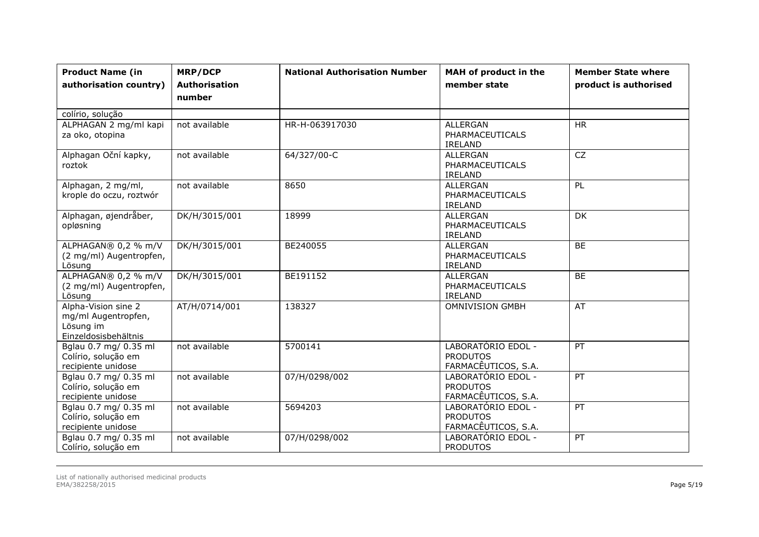| <b>Product Name (in</b><br>authorisation country)                               | <b>MRP/DCP</b><br><b>Authorisation</b><br>number | <b>National Authorisation Number</b> | MAH of product in the<br>member state                        | <b>Member State where</b><br>product is authorised |
|---------------------------------------------------------------------------------|--------------------------------------------------|--------------------------------------|--------------------------------------------------------------|----------------------------------------------------|
| colírio, solução                                                                |                                                  |                                      |                                                              |                                                    |
| ALPHAGAN 2 mg/ml kapi<br>za oko, otopina                                        | not available                                    | HR-H-063917030                       | <b>ALLERGAN</b><br>PHARMACEUTICALS<br>IRELAND                | <b>HR</b>                                          |
| Alphagan Oční kapky,<br>roztok                                                  | not available                                    | 64/327/00-C                          | <b>ALLERGAN</b><br>PHARMACEUTICALS<br>IRELAND                | CZ                                                 |
| Alphagan, 2 mg/ml,<br>krople do oczu, roztwór                                   | not available                                    | 8650                                 | <b>ALLERGAN</b><br>PHARMACEUTICALS<br>IRELAND                | PL                                                 |
| Alphagan, øjendråber,<br>opløsning                                              | DK/H/3015/001                                    | 18999                                | <b>ALLERGAN</b><br>PHARMACEUTICALS<br>IRELAND                | <b>DK</b>                                          |
| ALPHAGAN® 0,2 % m/V<br>(2 mg/ml) Augentropfen,<br>Lösung                        | DK/H/3015/001                                    | BE240055                             | <b>ALLERGAN</b><br>PHARMACEUTICALS<br><b>IRELAND</b>         | BE                                                 |
| ALPHAGAN® 0,2 % m/V<br>(2 mg/ml) Augentropfen,<br>Lösung                        | DK/H/3015/001                                    | BE191152                             | <b>ALLERGAN</b><br>PHARMACEUTICALS<br>IRELAND                | BE                                                 |
| Alpha-Vision sine 2<br>mg/ml Augentropfen,<br>Lösung im<br>Einzeldosisbehältnis | AT/H/0714/001                                    | 138327                               | <b>OMNIVISION GMBH</b>                                       | AT                                                 |
| Bglau 0.7 mg/ 0.35 ml<br>Colírio, solução em<br>recipiente unidose              | not available                                    | 5700141                              | LABORATÓRIO EDOL -<br><b>PRODUTOS</b><br>FARMACÊUTICOS, S.A. | PT                                                 |
| Bglau 0.7 mg/ 0.35 ml<br>Colírio, solução em<br>recipiente unidose              | not available                                    | 07/H/0298/002                        | LABORATÓRIO EDOL -<br><b>PRODUTOS</b><br>FARMACÊUTICOS, S.A. | PT                                                 |
| Bglau 0.7 mg/ 0.35 ml<br>Colírio, solução em<br>recipiente unidose              | not available                                    | 5694203                              | LABORATÓRIO EDOL -<br><b>PRODUTOS</b><br>FARMACÊUTICOS, S.A. | PT                                                 |
| Bglau 0.7 mg/ 0.35 ml<br>Colírio, solução em                                    | not available                                    | 07/H/0298/002                        | LABORATÓRIO EDOL -<br><b>PRODUTOS</b>                        | PT                                                 |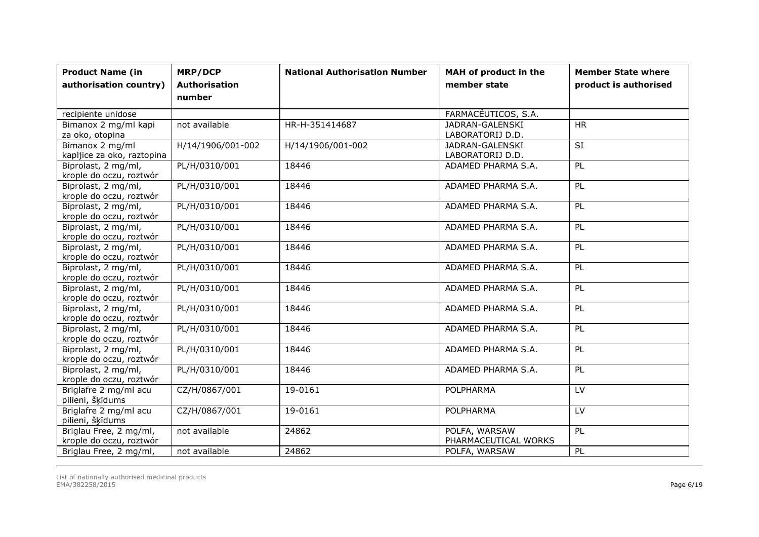| <b>Product Name (in</b><br>authorisation country) | MRP/DCP<br><b>Authorisation</b> | <b>National Authorisation Number</b> | MAH of product in the<br>member state | <b>Member State where</b><br>product is authorised |
|---------------------------------------------------|---------------------------------|--------------------------------------|---------------------------------------|----------------------------------------------------|
|                                                   | number                          |                                      |                                       |                                                    |
| recipiente unidose                                |                                 |                                      | FARMACÊUTICOS, S.A.                   |                                                    |
| Bimanox 2 mg/ml kapi                              | not available                   | HR-H-351414687                       | JADRAN-GALENSKI                       | $\overline{HR}$                                    |
| za oko, otopina                                   |                                 |                                      | LABORATORIJ D.D.                      |                                                    |
| Bimanox 2 mg/ml                                   | H/14/1906/001-002               | H/14/1906/001-002                    | JADRAN-GALENSKI                       | <b>SI</b>                                          |
| kapljice za oko, raztopina                        |                                 |                                      | LABORATORIJ D.D.                      |                                                    |
| Biprolast, 2 mg/ml,                               | PL/H/0310/001                   | 18446                                | ADAMED PHARMA S.A.                    | PL                                                 |
| krople do oczu, roztwór                           |                                 |                                      |                                       |                                                    |
| Biprolast, 2 mg/ml,                               | PL/H/0310/001                   | 18446                                | ADAMED PHARMA S.A.                    | PL                                                 |
| krople do oczu, roztwór                           |                                 |                                      |                                       |                                                    |
| Biprolast, 2 mg/ml,                               | PL/H/0310/001                   | 18446                                | ADAMED PHARMA S.A.                    | PL                                                 |
| krople do oczu, roztwór<br>Biprolast, 2 mg/ml,    | PL/H/0310/001                   | 18446                                | ADAMED PHARMA S.A.                    | PL                                                 |
| krople do oczu, roztwór                           |                                 |                                      |                                       |                                                    |
| Biprolast, 2 mg/ml,                               | PL/H/0310/001                   | 18446                                | ADAMED PHARMA S.A.                    | PL                                                 |
| krople do oczu, roztwór                           |                                 |                                      |                                       |                                                    |
| Biprolast, 2 mg/ml,                               | PL/H/0310/001                   | 18446                                | ADAMED PHARMA S.A.                    | <b>PL</b>                                          |
| krople do oczu, roztwór                           |                                 |                                      |                                       |                                                    |
| Biprolast, 2 mg/ml,                               | PL/H/0310/001                   | 18446                                | ADAMED PHARMA S.A.                    | PL                                                 |
| krople do oczu, roztwór                           |                                 |                                      |                                       |                                                    |
| Biprolast, 2 mg/ml,                               | PL/H/0310/001                   | 18446                                | ADAMED PHARMA S.A.                    | PL                                                 |
| krople do oczu, roztwór                           |                                 |                                      |                                       |                                                    |
| Biprolast, 2 mg/ml,                               | PL/H/0310/001                   | 18446                                | ADAMED PHARMA S.A.                    | PL                                                 |
| krople do oczu, roztwór                           |                                 |                                      |                                       |                                                    |
| Biprolast, 2 mg/ml,                               | PL/H/0310/001                   | 18446                                | ADAMED PHARMA S.A.                    | PL                                                 |
| krople do oczu, roztwór                           |                                 |                                      |                                       |                                                    |
| Biprolast, 2 mg/ml,                               | PL/H/0310/001                   | 18446                                | ADAMED PHARMA S.A.                    | PL                                                 |
| krople do oczu, roztwór<br>Briglafre 2 mg/ml acu  | CZ/H/0867/001                   | 19-0161                              | POLPHARMA                             | LV                                                 |
| pilieni, šķīdums                                  |                                 |                                      |                                       |                                                    |
| Briglafre 2 mg/ml acu                             | CZ/H/0867/001                   | 19-0161                              | POLPHARMA                             | $\overline{LV}$                                    |
| pilieni, šķīdums                                  |                                 |                                      |                                       |                                                    |
| Briglau Free, 2 mg/ml,                            | not available                   | 24862                                | POLFA, WARSAW                         | PL                                                 |
| krople do oczu, roztwór                           |                                 |                                      | PHARMACEUTICAL WORKS                  |                                                    |
| Briglau Free, 2 mg/ml,                            | not available                   | 24862                                | POLFA, WARSAW                         | PL                                                 |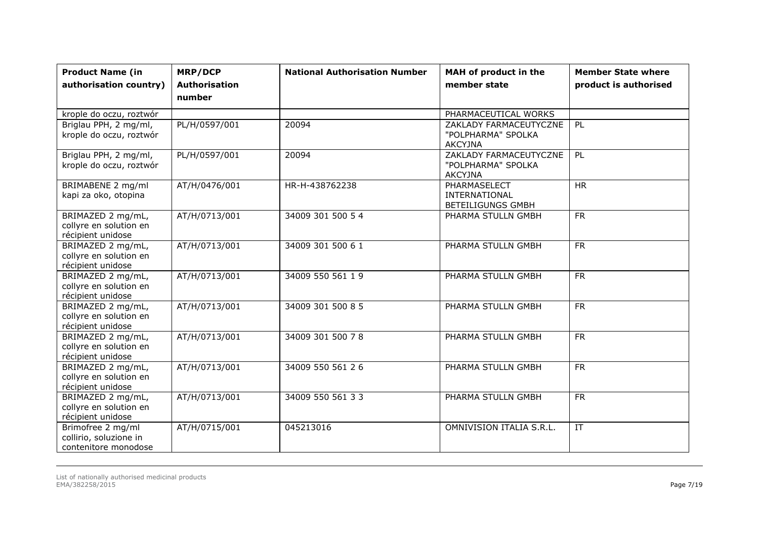| <b>Product Name (in</b><br>authorisation country)                           | <b>MRP/DCP</b><br><b>Authorisation</b><br>number | <b>National Authorisation Number</b> | MAH of product in the<br>member state                                                  | <b>Member State where</b><br>product is authorised |
|-----------------------------------------------------------------------------|--------------------------------------------------|--------------------------------------|----------------------------------------------------------------------------------------|----------------------------------------------------|
| krople do oczu, roztwór<br>Briglau PPH, 2 mg/ml,<br>krople do oczu, roztwór | PL/H/0597/001                                    | 20094                                | PHARMACEUTICAL WORKS<br>ZAKLADY FARMACEUTYCZNE<br>"POLPHARMA" SPOLKA<br><b>AKCYJNA</b> | PL                                                 |
| Briglau PPH, 2 mg/ml,<br>krople do oczu, roztwór                            | PL/H/0597/001                                    | 20094                                | ZAKLADY FARMACEUTYCZNE<br>"POLPHARMA" SPOLKA<br><b>AKCYJNA</b>                         | PL                                                 |
| BRIMABENE 2 mg/ml<br>kapi za oko, otopina                                   | AT/H/0476/001                                    | HR-H-438762238                       | PHARMASELECT<br><b>INTERNATIONAL</b><br>BETEILIGUNGS GMBH                              | <b>HR</b>                                          |
| BRIMAZED 2 mg/mL,<br>collyre en solution en<br>récipient unidose            | AT/H/0713/001                                    | 34009 301 500 54                     | PHARMA STULLN GMBH                                                                     | <b>FR</b>                                          |
| BRIMAZED 2 mg/mL,<br>collyre en solution en<br>récipient unidose            | AT/H/0713/001                                    | 34009 301 500 6 1                    | PHARMA STULLN GMBH                                                                     | <b>FR</b>                                          |
| BRIMAZED 2 mg/mL,<br>collyre en solution en<br>récipient unidose            | AT/H/0713/001                                    | 34009 550 561 19                     | PHARMA STULLN GMBH                                                                     | $\overline{FR}$                                    |
| BRIMAZED 2 mg/mL,<br>collyre en solution en<br>récipient unidose            | AT/H/0713/001                                    | 34009 301 500 8 5                    | PHARMA STULLN GMBH                                                                     | <b>FR</b>                                          |
| BRIMAZED 2 mg/mL,<br>collyre en solution en<br>récipient unidose            | AT/H/0713/001                                    | 34009 301 500 78                     | PHARMA STULLN GMBH                                                                     | <b>FR</b>                                          |
| BRIMAZED 2 mg/mL,<br>collyre en solution en<br>récipient unidose            | AT/H/0713/001                                    | 34009 550 561 26                     | PHARMA STULLN GMBH                                                                     | <b>FR</b>                                          |
| BRIMAZED 2 mg/mL,<br>collyre en solution en<br>récipient unidose            | AT/H/0713/001                                    | 34009 550 561 33                     | PHARMA STULLN GMBH                                                                     | $\overline{FR}$                                    |
| Brimofree 2 mg/ml<br>collirio, soluzione in<br>contenitore monodose         | AT/H/0715/001                                    | 045213016                            | OMNIVISION ITALIA S.R.L.                                                               | $\ensuremath{\text{IT}}$                           |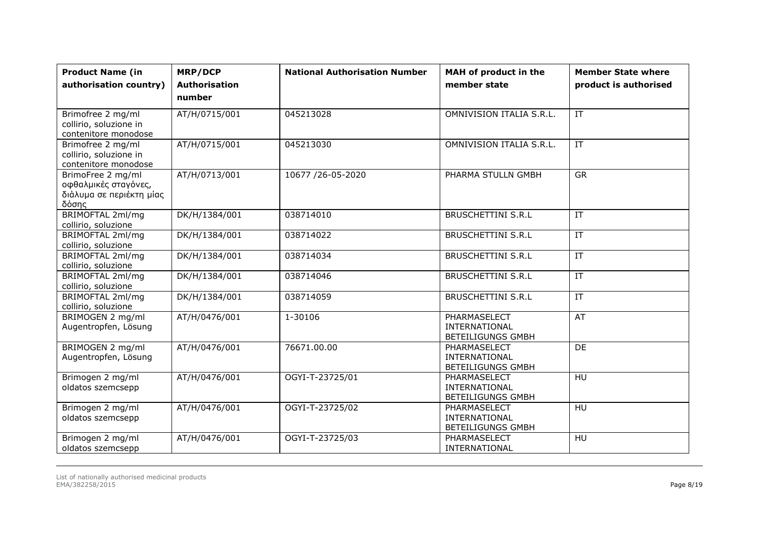| <b>Product Name (in</b><br>authorisation country)                              | <b>MRP/DCP</b><br><b>Authorisation</b><br>number | <b>National Authorisation Number</b> | MAH of product in the<br>member state                     | <b>Member State where</b><br>product is authorised |
|--------------------------------------------------------------------------------|--------------------------------------------------|--------------------------------------|-----------------------------------------------------------|----------------------------------------------------|
| Brimofree 2 mg/ml<br>collirio, soluzione in<br>contenitore monodose            | AT/H/0715/001                                    | 045213028                            | OMNIVISION ITALIA S.R.L.                                  | IT                                                 |
| Brimofree 2 mg/ml<br>collirio, soluzione in<br>contenitore monodose            | AT/H/0715/001                                    | 045213030                            | OMNIVISION ITALIA S.R.L.                                  | $\overline{IT}$                                    |
| BrimoFree 2 mg/ml<br>οφθαλμικές σταγόνες,<br>διάλυμα σε περιέκτη μίας<br>δόσης | AT/H/0713/001                                    | 10677 /26-05-2020                    | PHARMA STULLN GMBH                                        | <b>GR</b>                                          |
| BRIMOFTAL 2ml/mg<br>collirio, soluzione                                        | DK/H/1384/001                                    | 038714010                            | <b>BRUSCHETTINI S.R.L</b>                                 | IT                                                 |
| BRIMOFTAL 2ml/mg<br>collirio, soluzione                                        | DK/H/1384/001                                    | 038714022                            | <b>BRUSCHETTINI S.R.L</b>                                 | IT                                                 |
| BRIMOFTAL 2ml/mg<br>collirio, soluzione                                        | DK/H/1384/001                                    | 038714034                            | <b>BRUSCHETTINI S.R.L</b>                                 | IT                                                 |
| BRIMOFTAL 2ml/mg<br>collirio, soluzione                                        | DK/H/1384/001                                    | 038714046                            | <b>BRUSCHETTINI S.R.L</b>                                 | IT                                                 |
| BRIMOFTAL 2ml/mg<br>collirio, soluzione                                        | DK/H/1384/001                                    | 038714059                            | <b>BRUSCHETTINI S.R.L</b>                                 | IT                                                 |
| BRIMOGEN 2 mg/ml<br>Augentropfen, Lösung                                       | AT/H/0476/001                                    | 1-30106                              | PHARMASELECT<br>INTERNATIONAL<br><b>BETEILIGUNGS GMBH</b> | AT                                                 |
| BRIMOGEN 2 mg/ml<br>Augentropfen, Lösung                                       | AT/H/0476/001                                    | 76671.00.00                          | PHARMASELECT<br>INTERNATIONAL<br><b>BETEILIGUNGS GMBH</b> | DE                                                 |
| Brimogen 2 mg/ml<br>oldatos szemcsepp                                          | AT/H/0476/001                                    | OGYI-T-23725/01                      | PHARMASELECT<br>INTERNATIONAL<br><b>BETEILIGUNGS GMBH</b> | $\overline{HU}$                                    |
| Brimogen 2 mg/ml<br>oldatos szemcsepp                                          | AT/H/0476/001                                    | OGYI-T-23725/02                      | PHARMASELECT<br>INTERNATIONAL<br><b>BETEILIGUNGS GMBH</b> | <b>HU</b>                                          |
| Brimogen 2 mg/ml<br>oldatos szemcsepp                                          | AT/H/0476/001                                    | OGYI-T-23725/03                      | PHARMASELECT<br>INTERNATIONAL                             | HU                                                 |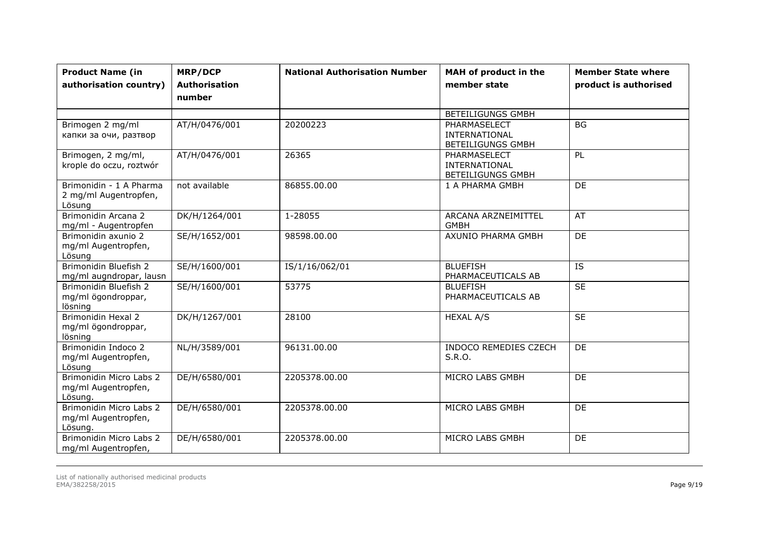| <b>Product Name (in</b><br>authorisation country)          | <b>MRP/DCP</b><br><b>Authorisation</b><br>number | <b>National Authorisation Number</b> | MAH of product in the<br>member state                     | <b>Member State where</b><br>product is authorised |
|------------------------------------------------------------|--------------------------------------------------|--------------------------------------|-----------------------------------------------------------|----------------------------------------------------|
|                                                            |                                                  |                                      | <b>BETEILIGUNGS GMBH</b>                                  |                                                    |
| Brimogen 2 mg/ml<br>капки за очи, разтвор                  | AT/H/0476/001                                    | 20200223                             | PHARMASELECT<br>INTERNATIONAL<br><b>BETEILIGUNGS GMBH</b> | <b>BG</b>                                          |
| Brimogen, 2 mg/ml,<br>krople do oczu, roztwór              | AT/H/0476/001                                    | 26365                                | PHARMASELECT<br>INTERNATIONAL<br>BETEILIGUNGS GMBH        | PL                                                 |
| Brimonidin - 1 A Pharma<br>2 mg/ml Augentropfen,<br>Lösung | not available                                    | 86855.00.00                          | 1 A PHARMA GMBH                                           | <b>DE</b>                                          |
| Brimonidin Arcana 2<br>mg/ml - Augentropfen                | DK/H/1264/001                                    | 1-28055                              | ARCANA ARZNEIMITTEL<br><b>GMBH</b>                        | AT                                                 |
| Brimonidin axunio 2<br>mg/ml Augentropfen,<br>Lösung       | SE/H/1652/001                                    | 98598.00.00                          | AXUNIO PHARMA GMBH                                        | <b>DE</b>                                          |
| Brimonidin Bluefish 2<br>mg/ml augndropar, lausn           | SE/H/1600/001                                    | IS/1/16/062/01                       | <b>BLUEFISH</b><br>PHARMACEUTICALS AB                     | $\overline{IS}$                                    |
| Brimonidin Bluefish 2<br>mg/ml ögondroppar,<br>lösning     | SE/H/1600/001                                    | 53775                                | <b>BLUEFISH</b><br>PHARMACEUTICALS AB                     | SE                                                 |
| <b>Brimonidin Hexal 2</b><br>mg/ml ögondroppar,<br>lösning | DK/H/1267/001                                    | 28100                                | <b>HEXAL A/S</b>                                          | <b>SE</b>                                          |
| Brimonidin Indoco 2<br>mg/ml Augentropfen,<br>Lösung       | NL/H/3589/001                                    | 96131.00.00                          | INDOCO REMEDIES CZECH<br>S.R.O.                           | <b>DE</b>                                          |
| Brimonidin Micro Labs 2<br>mg/ml Augentropfen,<br>Lösung.  | DE/H/6580/001                                    | 2205378.00.00                        | MICRO LABS GMBH                                           | DE                                                 |
| Brimonidin Micro Labs 2<br>mg/ml Augentropfen,<br>Lösung.  | DE/H/6580/001                                    | 2205378.00.00                        | MICRO LABS GMBH                                           | DE                                                 |
| Brimonidin Micro Labs 2<br>mg/ml Augentropfen,             | DE/H/6580/001                                    | 2205378.00.00                        | MICRO LABS GMBH                                           | DE                                                 |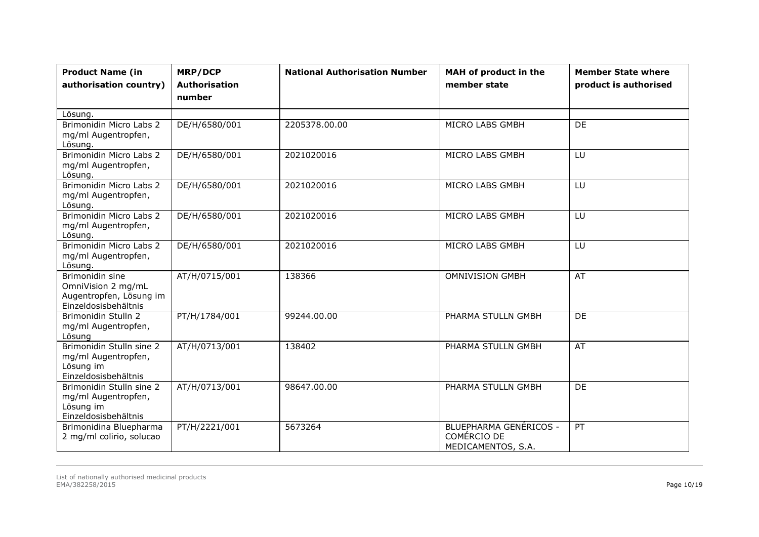| <b>Product Name (in</b><br>authorisation country)                                        | <b>MRP/DCP</b><br><b>Authorisation</b><br>number | <b>National Authorisation Number</b> | MAH of product in the<br>member state                       | <b>Member State where</b><br>product is authorised |
|------------------------------------------------------------------------------------------|--------------------------------------------------|--------------------------------------|-------------------------------------------------------------|----------------------------------------------------|
| Lösung.                                                                                  |                                                  |                                      |                                                             |                                                    |
| Brimonidin Micro Labs 2<br>mg/ml Augentropfen,<br>Lösung.                                | DE/H/6580/001                                    | 2205378.00.00                        | MICRO LABS GMBH                                             | <b>DE</b>                                          |
| Brimonidin Micro Labs 2<br>mg/ml Augentropfen,<br>Lösung.                                | DE/H/6580/001                                    | 2021020016                           | MICRO LABS GMBH                                             | LU                                                 |
| Brimonidin Micro Labs 2<br>mg/ml Augentropfen,<br>Lösung.                                | DE/H/6580/001                                    | 2021020016                           | MICRO LABS GMBH                                             | LU                                                 |
| Brimonidin Micro Labs 2<br>mg/ml Augentropfen,<br>Lösung.                                | DE/H/6580/001                                    | 2021020016                           | MICRO LABS GMBH                                             | LU                                                 |
| Brimonidin Micro Labs 2<br>mg/ml Augentropfen,<br>Lösung.                                | DE/H/6580/001                                    | 2021020016                           | MICRO LABS GMBH                                             | LU                                                 |
| Brimonidin sine<br>OmniVision 2 mg/mL<br>Augentropfen, Lösung im<br>Einzeldosisbehältnis | AT/H/0715/001                                    | 138366                               | <b>OMNIVISION GMBH</b>                                      | AT                                                 |
| Brimonidin Stulln 2<br>mg/ml Augentropfen,<br>Lösung                                     | PT/H/1784/001                                    | 99244.00.00                          | PHARMA STULLN GMBH                                          | DE                                                 |
| Brimonidin Stulln sine 2<br>mg/ml Augentropfen,<br>Lösung im<br>Einzeldosisbehältnis     | AT/H/0713/001                                    | 138402                               | PHARMA STULLN GMBH                                          | AT                                                 |
| Brimonidin Stulln sine 2<br>mg/ml Augentropfen,<br>Lösung im<br>Einzeldosisbehältnis     | AT/H/0713/001                                    | 98647.00.00                          | PHARMA STULLN GMBH                                          | DE                                                 |
| Brimonidina Bluepharma<br>2 mg/ml colirio, solucao                                       | PT/H/2221/001                                    | 5673264                              | BLUEPHARMA GENÉRICOS -<br>COMÉRCIO DE<br>MEDICAMENTOS, S.A. | PT                                                 |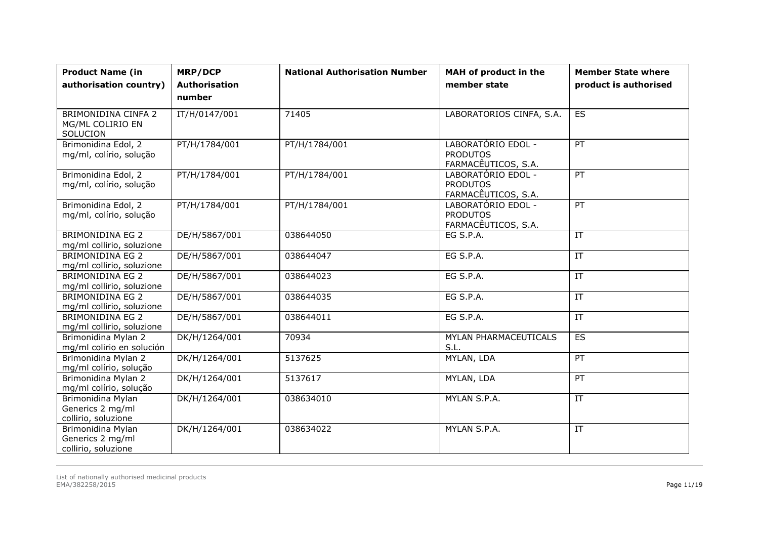| <b>Product Name (in</b><br>authorisation country)            | <b>MRP/DCP</b><br><b>Authorisation</b><br>number | <b>National Authorisation Number</b> | MAH of product in the<br>member state                        | <b>Member State where</b><br>product is authorised |
|--------------------------------------------------------------|--------------------------------------------------|--------------------------------------|--------------------------------------------------------------|----------------------------------------------------|
| BRIMONIDINA CINFA 2<br>MG/ML COLIRIO EN<br>SOLUCION          | IT/H/0147/001                                    | 71405                                | LABORATORIOS CINFA, S.A.                                     | ES                                                 |
| Brimonidina Edol, 2<br>mg/ml, colírio, solução               | PT/H/1784/001                                    | PT/H/1784/001                        | LABORATÓRIO EDOL -<br><b>PRODUTOS</b><br>FARMACÊUTICOS, S.A. | PT                                                 |
| Brimonidina Edol, 2<br>mg/ml, colírio, solução               | PT/H/1784/001                                    | PT/H/1784/001                        | LABORATÓRIO EDOL -<br><b>PRODUTOS</b><br>FARMACÊUTICOS, S.A. | PT                                                 |
| Brimonidina Edol, 2<br>mg/ml, colírio, solução               | PT/H/1784/001                                    | PT/H/1784/001                        | LABORATÓRIO EDOL -<br><b>PRODUTOS</b><br>FARMACÊUTICOS, S.A. | PT                                                 |
| <b>BRIMONIDINA EG 2</b><br>mg/ml collirio, soluzione         | DE/H/5867/001                                    | 038644050                            | EG S.P.A.                                                    | IT                                                 |
| <b>BRIMONIDINA EG 2</b><br>mg/ml collirio, soluzione         | DE/H/5867/001                                    | 038644047                            | EG S.P.A.                                                    | $\overline{\mathbf{I}}$                            |
| <b>BRIMONIDINA EG 2</b><br>mg/ml collirio, soluzione         | DE/H/5867/001                                    | 038644023                            | EG S.P.A.                                                    | IT                                                 |
| <b>BRIMONIDINA EG 2</b><br>mg/ml collirio, soluzione         | DE/H/5867/001                                    | 038644035                            | EG S.P.A.                                                    | $\ensuremath{\text{IT}}$                           |
| <b>BRIMONIDINA EG 2</b><br>mg/ml collirio, soluzione         | DE/H/5867/001                                    | 038644011                            | EG S.P.A.                                                    | IT                                                 |
| Brimonidina Mylan 2<br>mg/ml colirio en solución             | DK/H/1264/001                                    | 70934                                | MYLAN PHARMACEUTICALS<br>S.L.                                | <b>ES</b>                                          |
| Brimonidina Mylan 2<br>mg/ml colírio, solução                | DK/H/1264/001                                    | 5137625                              | MYLAN, LDA                                                   | PT                                                 |
| Brimonidina Mylan 2<br>mg/ml colírio, solução                | DK/H/1264/001                                    | 5137617                              | MYLAN, LDA                                                   | PT                                                 |
| Brimonidina Mylan<br>Generics 2 mg/ml<br>collirio, soluzione | DK/H/1264/001                                    | 038634010                            | MYLAN S.P.A.                                                 | $\overline{IT}$                                    |
| Brimonidina Mylan<br>Generics 2 mg/ml<br>collirio, soluzione | DK/H/1264/001                                    | 038634022                            | MYLAN S.P.A.                                                 | IT                                                 |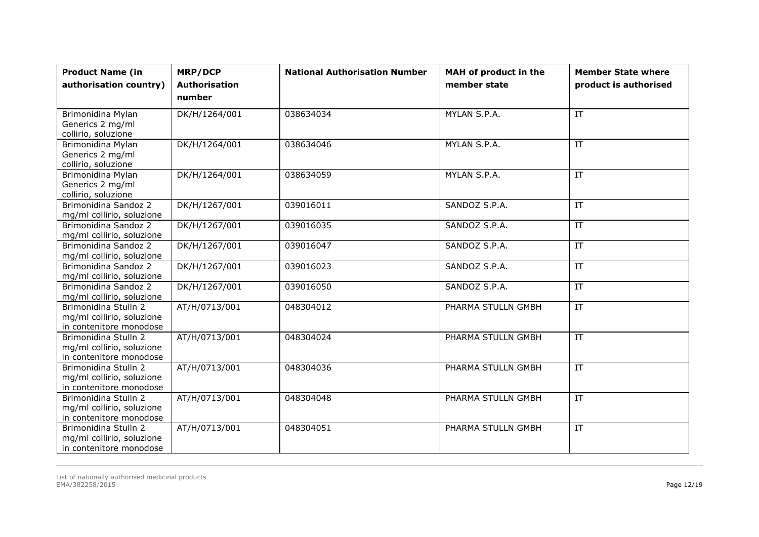| <b>Product Name (in</b><br>authorisation country)                            | <b>MRP/DCP</b><br>Authorisation<br>number | <b>National Authorisation Number</b> | MAH of product in the<br>member state | <b>Member State where</b><br>product is authorised |
|------------------------------------------------------------------------------|-------------------------------------------|--------------------------------------|---------------------------------------|----------------------------------------------------|
| Brimonidina Mylan<br>Generics 2 mg/ml<br>collirio, soluzione                 | DK/H/1264/001                             | 038634034                            | MYLAN S.P.A.                          | $\overline{IT}$                                    |
| Brimonidina Mylan<br>Generics 2 mg/ml<br>collirio, soluzione                 | DK/H/1264/001                             | 038634046                            | MYLAN S.P.A.                          | IT                                                 |
| Brimonidina Mylan<br>Generics 2 mg/ml<br>collirio, soluzione                 | DK/H/1264/001                             | 038634059                            | MYLAN S.P.A.                          | $\overline{\text{IT}}$                             |
| Brimonidina Sandoz 2<br>mg/ml collirio, soluzione                            | DK/H/1267/001                             | 039016011                            | SANDOZ S.P.A.                         | $\overline{I}$                                     |
| Brimonidina Sandoz 2<br>mg/ml collirio, soluzione                            | DK/H/1267/001                             | 039016035                            | SANDOZ S.P.A.                         | $\overline{IT}$                                    |
| Brimonidina Sandoz 2<br>mg/ml collirio, soluzione                            | DK/H/1267/001                             | 039016047                            | SANDOZ S.P.A.                         | $\overline{IT}$                                    |
| Brimonidina Sandoz 2<br>mg/ml collirio, soluzione                            | DK/H/1267/001                             | 039016023                            | SANDOZ S.P.A.                         | $\overline{IT}$                                    |
| Brimonidina Sandoz 2<br>mg/ml collirio, soluzione                            | DK/H/1267/001                             | 039016050                            | SANDOZ S.P.A.                         | IT                                                 |
| Brimonidina Stulln 2<br>mg/ml collirio, soluzione<br>in contenitore monodose | AT/H/0713/001                             | 048304012                            | PHARMA STULLN GMBH                    | $\overline{IT}$                                    |
| Brimonidina Stulln 2<br>mg/ml collirio, soluzione<br>in contenitore monodose | AT/H/0713/001                             | 048304024                            | PHARMA STULLN GMBH                    | IT                                                 |
| Brimonidina Stulln 2<br>mg/ml collirio, soluzione<br>in contenitore monodose | AT/H/0713/001                             | 048304036                            | PHARMA STULLN GMBH                    | $\overline{IT}$                                    |
| Brimonidina Stulln 2<br>mg/ml collirio, soluzione<br>in contenitore monodose | AT/H/0713/001                             | 048304048                            | PHARMA STULLN GMBH                    | IT                                                 |
| Brimonidina Stulln 2<br>mg/ml collirio, soluzione<br>in contenitore monodose | AT/H/0713/001                             | 048304051                            | PHARMA STULLN GMBH                    | IT                                                 |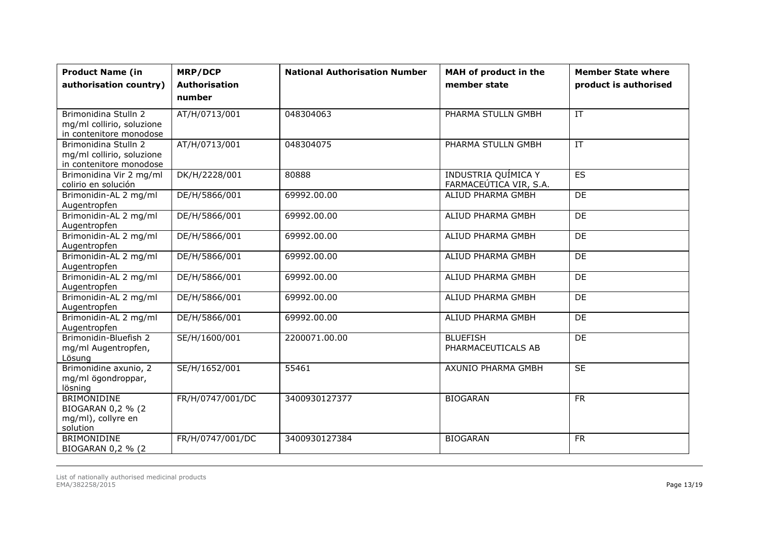| <b>Product Name (in</b><br>authorisation country)                            | <b>MRP/DCP</b><br>Authorisation<br>number | <b>National Authorisation Number</b> | MAH of product in the<br>member state         | <b>Member State where</b><br>product is authorised |
|------------------------------------------------------------------------------|-------------------------------------------|--------------------------------------|-----------------------------------------------|----------------------------------------------------|
| Brimonidina Stulln 2<br>mg/ml collirio, soluzione<br>in contenitore monodose | AT/H/0713/001                             | 048304063                            | PHARMA STULLN GMBH                            | $\overline{I}$                                     |
| Brimonidina Stulln 2<br>mg/ml collirio, soluzione<br>in contenitore monodose | AT/H/0713/001                             | 048304075                            | PHARMA STULLN GMBH                            | $\overline{I}$                                     |
| Brimonidina Vir 2 mg/ml<br>colirio en solución                               | DK/H/2228/001                             | 80888                                | INDUSTRIA QUÍMICA Y<br>FARMACEÚTICA VIR, S.A. | ES                                                 |
| Brimonidin-AL 2 mg/ml<br>Augentropfen                                        | DE/H/5866/001                             | 69992.00.00                          | ALIUD PHARMA GMBH                             | DE                                                 |
| Brimonidin-AL 2 mg/ml<br>Augentropfen                                        | DE/H/5866/001                             | 69992.00.00                          | ALIUD PHARMA GMBH                             | DE                                                 |
| Brimonidin-AL 2 mg/ml<br>Augentropfen                                        | DE/H/5866/001                             | 69992.00.00                          | ALIUD PHARMA GMBH                             | DE                                                 |
| Brimonidin-AL 2 mg/ml<br>Augentropfen                                        | DE/H/5866/001                             | 69992.00.00                          | ALIUD PHARMA GMBH                             | DE                                                 |
| Brimonidin-AL 2 mg/ml<br>Augentropfen                                        | DE/H/5866/001                             | 69992.00.00                          | ALIUD PHARMA GMBH                             | DE                                                 |
| Brimonidin-AL 2 mg/ml<br>Augentropfen                                        | DE/H/5866/001                             | 69992.00.00                          | ALIUD PHARMA GMBH                             | DE                                                 |
| Brimonidin-AL 2 mg/ml<br>Augentropfen                                        | DE/H/5866/001                             | 69992.00.00                          | ALIUD PHARMA GMBH                             | DE                                                 |
| Brimonidin-Bluefish 2<br>mg/ml Augentropfen,<br>Lösung                       | SE/H/1600/001                             | 2200071.00.00                        | <b>BLUEFISH</b><br>PHARMACEUTICALS AB         | DE                                                 |
| Brimonidine axunio, 2<br>mg/ml ögondroppar,<br>lösning                       | SE/H/1652/001                             | 55461                                | AXUNIO PHARMA GMBH                            | SE                                                 |
| <b>BRIMONIDINE</b><br>BIOGARAN 0,2 % (2<br>mg/ml), collyre en<br>solution    | FR/H/0747/001/DC                          | 3400930127377                        | <b>BIOGARAN</b>                               | $\overline{FR}$                                    |
| <b>BRIMONIDINE</b><br>BIOGARAN 0,2 % (2                                      | FR/H/0747/001/DC                          | 3400930127384                        | <b>BIOGARAN</b>                               | <b>FR</b>                                          |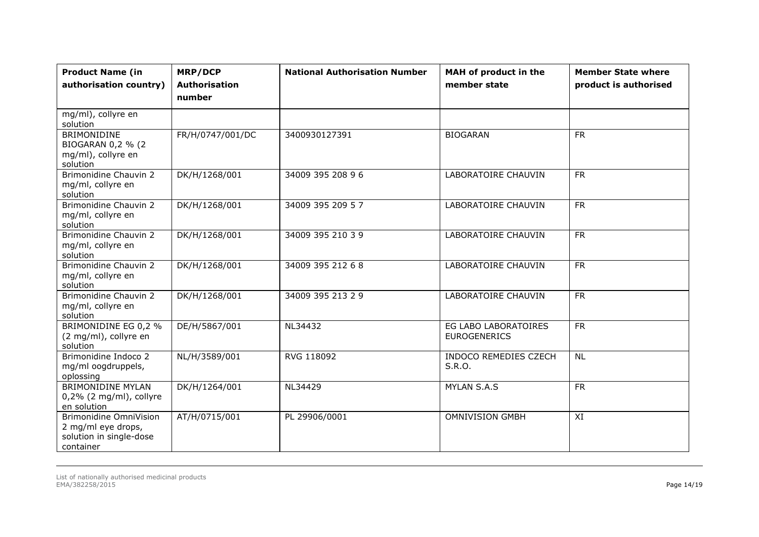| <b>Product Name (in</b><br>authorisation country)                                    | <b>MRP/DCP</b><br><b>Authorisation</b><br>number | <b>National Authorisation Number</b> | MAH of product in the<br>member state       | <b>Member State where</b><br>product is authorised |
|--------------------------------------------------------------------------------------|--------------------------------------------------|--------------------------------------|---------------------------------------------|----------------------------------------------------|
| mg/ml), collyre en<br>solution                                                       |                                                  |                                      |                                             |                                                    |
| <b>BRIMONIDINE</b><br>BIOGARAN 0,2 % (2<br>mg/ml), collyre en<br>solution            | FR/H/0747/001/DC                                 | 3400930127391                        | <b>BIOGARAN</b>                             | $\overline{FR}$                                    |
| Brimonidine Chauvin 2<br>mg/ml, collyre en<br>solution                               | DK/H/1268/001                                    | 34009 395 208 9 6                    | LABORATOIRE CHAUVIN                         | <b>FR</b>                                          |
| Brimonidine Chauvin 2<br>mg/ml, collyre en<br>solution                               | DK/H/1268/001                                    | 34009 395 209 5 7                    | LABORATOIRE CHAUVIN                         | <b>FR</b>                                          |
| Brimonidine Chauvin 2<br>mg/ml, collyre en<br>solution                               | DK/H/1268/001                                    | 34009 395 210 3 9                    | LABORATOIRE CHAUVIN                         | $\overline{FR}$                                    |
| <b>Brimonidine Chauvin 2</b><br>mg/ml, collyre en<br>solution                        | DK/H/1268/001                                    | 34009 395 212 6 8                    | LABORATOIRE CHAUVIN                         | <b>FR</b>                                          |
| Brimonidine Chauvin 2<br>mg/ml, collyre en<br>solution                               | DK/H/1268/001                                    | 34009 395 213 2 9                    | LABORATOIRE CHAUVIN                         | $\overline{FR}$                                    |
| BRIMONIDINE EG 0,2 %<br>(2 mg/ml), collyre en<br>solution                            | DE/H/5867/001                                    | NL34432                              | EG LABO LABORATOIRES<br><b>EUROGENERICS</b> | <b>FR</b>                                          |
| Brimonidine Indoco 2<br>mg/ml oogdruppels,<br>oplossing                              | NL/H/3589/001                                    | RVG 118092                           | INDOCO REMEDIES CZECH<br>S.R.O.             | NL                                                 |
| <b>BRIMONIDINE MYLAN</b><br>0,2% (2 mg/ml), collyre<br>en solution                   | DK/H/1264/001                                    | NL34429                              | <b>MYLAN S.A.S</b>                          | <b>FR</b>                                          |
| Brimonidine OmniVision<br>2 mg/ml eye drops,<br>solution in single-dose<br>container | AT/H/0715/001                                    | PL 29906/0001                        | <b>OMNIVISION GMBH</b>                      | XI                                                 |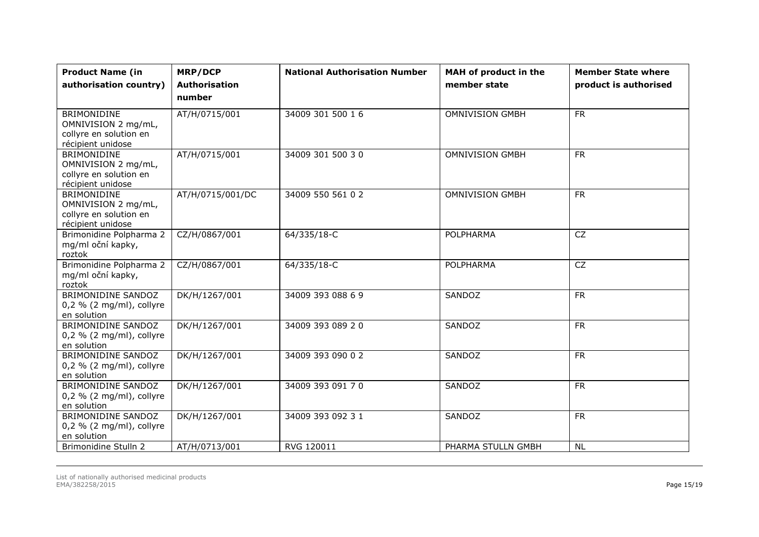| <b>Product Name (in</b><br>authorisation country)                                        | <b>MRP/DCP</b><br><b>Authorisation</b><br>number | <b>National Authorisation Number</b> | MAH of product in the<br>member state | <b>Member State where</b><br>product is authorised |
|------------------------------------------------------------------------------------------|--------------------------------------------------|--------------------------------------|---------------------------------------|----------------------------------------------------|
| <b>BRIMONIDINE</b><br>OMNIVISION 2 mg/mL,<br>collyre en solution en<br>récipient unidose | AT/H/0715/001                                    | 34009 301 500 16                     | <b>OMNIVISION GMBH</b>                | <b>FR</b>                                          |
| <b>BRIMONIDINE</b><br>OMNIVISION 2 mg/mL,<br>collyre en solution en<br>récipient unidose | AT/H/0715/001                                    | 34009 301 500 30                     | <b>OMNIVISION GMBH</b>                | <b>FR</b>                                          |
| <b>BRIMONIDINE</b><br>OMNIVISION 2 mg/mL,<br>collyre en solution en<br>récipient unidose | AT/H/0715/001/DC                                 | 34009 550 561 0 2                    | <b>OMNIVISION GMBH</b>                | $\overline{FR}$                                    |
| Brimonidine Polpharma 2<br>mg/ml oční kapky,<br>roztok                                   | CZ/H/0867/001                                    | 64/335/18-C                          | POLPHARMA                             | <b>CZ</b>                                          |
| Brimonidine Polpharma 2<br>mg/ml oční kapky,<br>roztok                                   | CZ/H/0867/001                                    | 64/335/18-C                          | POLPHARMA                             | $\overline{CZ}$                                    |
| BRIMONIDINE SANDOZ<br>$0,2\%$ (2 mg/ml), collyre<br>en solution                          | DK/H/1267/001                                    | 34009 393 088 6 9                    | SANDOZ                                | <b>FR</b>                                          |
| BRIMONIDINE SANDOZ<br>0,2 % (2 mg/ml), collyre<br>en solution                            | DK/H/1267/001                                    | 34009 393 089 20                     | SANDOZ                                | <b>FR</b>                                          |
| BRIMONIDINE SANDOZ<br>$0,2\%$ (2 mg/ml), collyre<br>en solution                          | DK/H/1267/001                                    | 34009 393 090 0 2                    | SANDOZ                                | <b>FR</b>                                          |
| BRIMONIDINE SANDOZ<br>$0,2\%$ (2 mg/ml), collyre<br>en solution                          | DK/H/1267/001                                    | 34009 393 091 7 0                    | SANDOZ                                | <b>FR</b>                                          |
| BRIMONIDINE SANDOZ<br>0,2 % (2 mg/ml), collyre<br>en solution                            | DK/H/1267/001                                    | 34009 393 092 3 1                    | SANDOZ                                | <b>FR</b>                                          |
| Brimonidine Stulln 2                                                                     | AT/H/0713/001                                    | RVG 120011                           | PHARMA STULLN GMBH                    | <b>NL</b>                                          |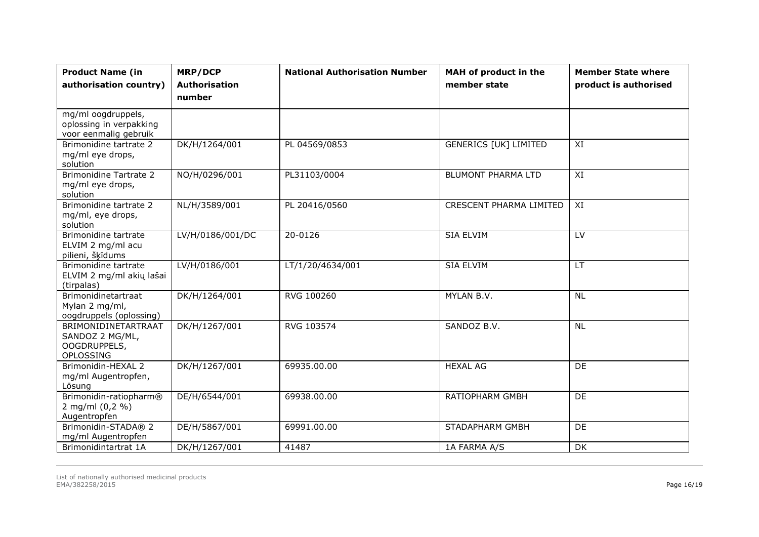| <b>Product Name (in</b><br>authorisation country)                      | <b>MRP/DCP</b><br>Authorisation<br>number | <b>National Authorisation Number</b> | MAH of product in the<br>member state | <b>Member State where</b><br>product is authorised |
|------------------------------------------------------------------------|-------------------------------------------|--------------------------------------|---------------------------------------|----------------------------------------------------|
| mg/ml oogdruppels,<br>oplossing in verpakking<br>voor eenmalig gebruik |                                           |                                      |                                       |                                                    |
| Brimonidine tartrate 2<br>mg/ml eye drops,<br>solution                 | DK/H/1264/001                             | PL 04569/0853                        | <b>GENERICS [UK] LIMITED</b>          | XI                                                 |
| <b>Brimonidine Tartrate 2</b><br>mg/ml eye drops,<br>solution          | NO/H/0296/001                             | PL31103/0004                         | <b>BLUMONT PHARMA LTD</b>             | XI                                                 |
| Brimonidine tartrate 2<br>mg/ml, eye drops,<br>solution                | NL/H/3589/001                             | PL 20416/0560                        | CRESCENT PHARMA LIMITED               | XI                                                 |
| Brimonidine tartrate<br>ELVIM 2 mg/ml acu<br>pilieni, šķīdums          | LV/H/0186/001/DC                          | 20-0126                              | <b>SIA ELVIM</b>                      | $\overline{LV}$                                    |
| Brimonidine tartrate<br>ELVIM 2 mg/ml akių lašai<br>(tirpalas)         | LV/H/0186/001                             | LT/1/20/4634/001                     | <b>SIA ELVIM</b>                      | LT                                                 |
| Brimonidinetartraat<br>Mylan 2 mg/ml,<br>oogdruppels (oplossing)       | DK/H/1264/001                             | RVG 100260                           | MYLAN B.V.                            | <b>NL</b>                                          |
| BRIMONIDINETARTRAAT<br>SANDOZ 2 MG/ML,<br>OOGDRUPPELS,<br>OPLOSSING    | DK/H/1267/001                             | RVG 103574                           | SANDOZ B.V.                           | <b>NL</b>                                          |
| Brimonidin-HEXAL 2<br>mg/ml Augentropfen,<br>Lösung                    | DK/H/1267/001                             | 69935.00.00                          | <b>HEXAL AG</b>                       | DE                                                 |
| Brimonidin-ratiopharm®<br>2 mg/ml (0,2 %)<br>Augentropfen              | DE/H/6544/001                             | 69938.00.00                          | RATIOPHARM GMBH                       | <b>DE</b>                                          |
| Brimonidin-STADA® 2<br>mg/ml Augentropfen                              | DE/H/5867/001                             | 69991.00.00                          | STADAPHARM GMBH                       | <b>DE</b>                                          |
| Brimonidintartrat 1A                                                   | DK/H/1267/001                             | 41487                                | 1A FARMA A/S                          | <b>DK</b>                                          |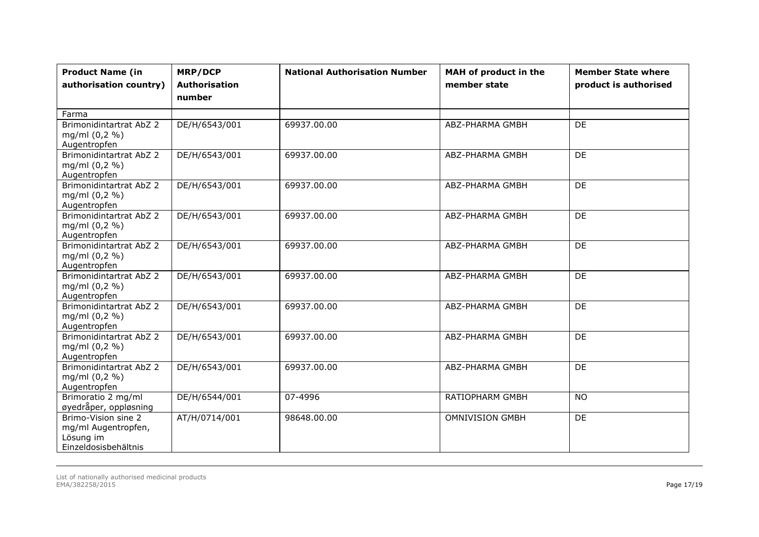| <b>Product Name (in</b><br>authorisation country)                               | <b>MRP/DCP</b><br><b>Authorisation</b><br>number | <b>National Authorisation Number</b> | MAH of product in the<br>member state | <b>Member State where</b><br>product is authorised |
|---------------------------------------------------------------------------------|--------------------------------------------------|--------------------------------------|---------------------------------------|----------------------------------------------------|
| Farma                                                                           |                                                  |                                      |                                       |                                                    |
| Brimonidintartrat AbZ 2<br>mg/ml (0,2 %)<br>Augentropfen                        | DE/H/6543/001                                    | 69937.00.00                          | ABZ-PHARMA GMBH                       | <b>DE</b>                                          |
| Brimonidintartrat AbZ 2<br>mg/ml (0,2 %)<br>Augentropfen                        | DE/H/6543/001                                    | 69937.00.00                          | ABZ-PHARMA GMBH                       | DE                                                 |
| Brimonidintartrat AbZ 2<br>mg/ml (0,2 %)<br>Augentropfen                        | DE/H/6543/001                                    | 69937.00.00                          | ABZ-PHARMA GMBH                       | <b>DE</b>                                          |
| Brimonidintartrat AbZ 2<br>mg/ml (0,2 %)<br>Augentropfen                        | DE/H/6543/001                                    | 69937.00.00                          | ABZ-PHARMA GMBH                       | <b>DE</b>                                          |
| Brimonidintartrat AbZ 2<br>mg/ml (0,2 %)<br>Augentropfen                        | DE/H/6543/001                                    | 69937.00.00                          | ABZ-PHARMA GMBH                       | DE                                                 |
| Brimonidintartrat AbZ 2<br>mg/ml (0,2 %)<br>Augentropfen                        | DE/H/6543/001                                    | 69937.00.00                          | ABZ-PHARMA GMBH                       | <b>DE</b>                                          |
| Brimonidintartrat AbZ 2<br>mg/ml (0,2 %)<br>Augentropfen                        | DE/H/6543/001                                    | 69937.00.00                          | ABZ-PHARMA GMBH                       | <b>DE</b>                                          |
| Brimonidintartrat AbZ 2<br>mg/ml (0,2 %)<br>Augentropfen                        | DE/H/6543/001                                    | 69937.00.00                          | ABZ-PHARMA GMBH                       | <b>DE</b>                                          |
| Brimonidintartrat AbZ 2<br>mg/ml (0,2 %)<br>Augentropfen                        | DE/H/6543/001                                    | 69937.00.00                          | ABZ-PHARMA GMBH                       | <b>DE</b>                                          |
| Brimoratio 2 mg/ml<br>øyedråper, oppløsning                                     | DE/H/6544/001                                    | 07-4996                              | RATIOPHARM GMBH                       | <b>NO</b>                                          |
| Brimo-Vision sine 2<br>mg/ml Augentropfen,<br>Lösung im<br>Einzeldosisbehältnis | AT/H/0714/001                                    | 98648.00.00                          | <b>OMNIVISION GMBH</b>                | <b>DE</b>                                          |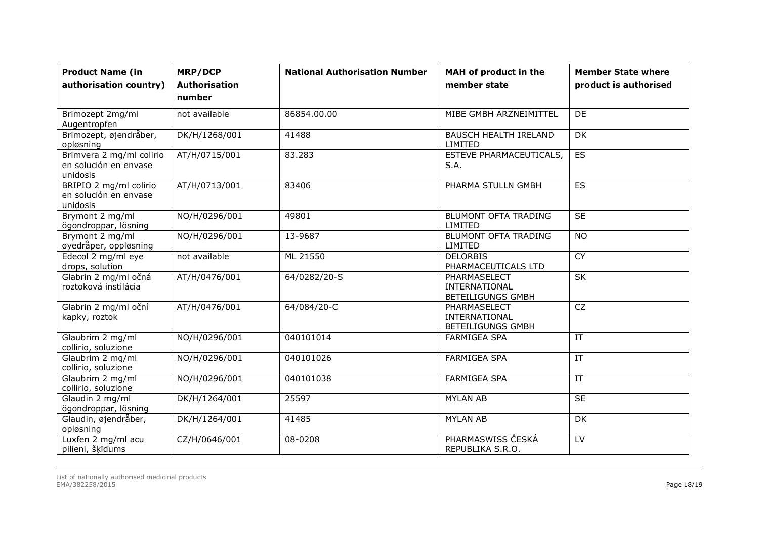| <b>Product Name (in</b><br>authorisation country)             | <b>MRP/DCP</b><br><b>Authorisation</b><br>number | <b>National Authorisation Number</b> | MAH of product in the<br>member state                     | <b>Member State where</b><br>product is authorised |
|---------------------------------------------------------------|--------------------------------------------------|--------------------------------------|-----------------------------------------------------------|----------------------------------------------------|
| Brimozept 2mg/ml<br>Augentropfen                              | not available                                    | 86854.00.00                          | MIBE GMBH ARZNEIMITTEL                                    | <b>DE</b>                                          |
| Brimozept, øjendråber,<br>opløsning                           | DK/H/1268/001                                    | 41488                                | <b>BAUSCH HEALTH IRELAND</b><br>LIMITED                   | $\overline{DK}$                                    |
| Brimvera 2 mg/ml colirio<br>en solución en envase<br>unidosis | AT/H/0715/001                                    | 83.283                               | ESTEVE PHARMACEUTICALS,<br>S.A.                           | ES                                                 |
| BRIPIO 2 mg/ml colirio<br>en solución en envase<br>unidosis   | AT/H/0713/001                                    | 83406                                | PHARMA STULLN GMBH                                        | <b>ES</b>                                          |
| Brymont 2 mg/ml<br>ögondroppar, lösning                       | NO/H/0296/001                                    | 49801                                | <b>BLUMONT OFTA TRADING</b><br>LIMITED                    | SE                                                 |
| Brymont 2 mg/ml<br>øyedråper, oppløsning                      | NO/H/0296/001                                    | 13-9687                              | <b>BLUMONT OFTA TRADING</b><br>LIMITED                    | <b>NO</b>                                          |
| Edecol 2 mg/ml eye<br>drops, solution                         | not available                                    | ML 21550                             | <b>DELORBIS</b><br>PHARMACEUTICALS LTD                    | $\overline{CY}$                                    |
| Glabrin 2 mg/ml očná<br>roztoková instilácia                  | AT/H/0476/001                                    | 64/0282/20-S                         | PHARMASELECT<br>INTERNATIONAL<br><b>BETEILIGUNGS GMBH</b> | <b>SK</b>                                          |
| Glabrin 2 mg/ml oční<br>kapky, roztok                         | AT/H/0476/001                                    | 64/084/20-C                          | PHARMASELECT<br>INTERNATIONAL<br><b>BETEILIGUNGS GMBH</b> | CZ                                                 |
| Glaubrim 2 mg/ml<br>collirio, soluzione                       | NO/H/0296/001                                    | 040101014                            | <b>FARMIGEA SPA</b>                                       | IT                                                 |
| Glaubrim 2 mg/ml<br>collirio, soluzione                       | NO/H/0296/001                                    | 040101026                            | <b>FARMIGEA SPA</b>                                       | $\overline{IT}$                                    |
| Glaubrim 2 mg/ml<br>collirio, soluzione                       | NO/H/0296/001                                    | 040101038                            | <b>FARMIGEA SPA</b>                                       | $\overline{IT}$                                    |
| Glaudin 2 mg/ml<br>ögondroppar, lösning                       | DK/H/1264/001                                    | 25597                                | <b>MYLAN AB</b>                                           | SE                                                 |
| Glaudin, øjendråber,<br>opløsning                             | DK/H/1264/001                                    | 41485                                | <b>MYLAN AB</b>                                           | <b>DK</b>                                          |
| Luxfen 2 mg/ml acu<br>pilieni, šķīdums                        | CZ/H/0646/001                                    | 08-0208                              | PHARMASWISS ČESKÁ<br>REPUBLIKA S.R.O.                     | LV                                                 |